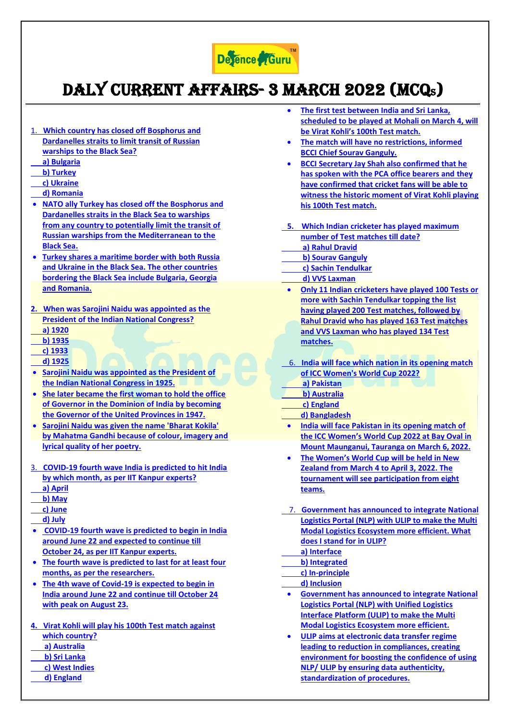

## Daly Current Affairs- 3 March 2022 (MCQS)

- 1. **[Which country has closed off Bosphorus and](https://www.defenceguru.co.in/)  [Dardanelles straits to limit transit of Russian](https://www.defenceguru.co.in/)  [warships to the Black Sea?](https://www.defenceguru.co.in/)**
- **[a\) Bulgaria](https://www.defenceguru.co.in/)**
- **[b\) Turkey](https://www.defenceguru.co.in/)**
- **[c\) Ukraine](https://www.defenceguru.co.in/)**
- **[d\) Romania](https://www.defenceguru.co.in/)**
- **[NATO ally Turkey has closed off the Bosphorus and](https://www.defenceguru.co.in/)  [Dardanelles straits in the Black Sea to warships](https://www.defenceguru.co.in/)  [from any country to potentially limit the transit of](https://www.defenceguru.co.in/)  [Russian warships from the Mediterranean to the](https://www.defenceguru.co.in/)  [Black Sea.](https://www.defenceguru.co.in/)**
- **[Turkey shares a maritime border with both Russia](https://www.defenceguru.co.in/)  [and Ukraine in the Black Sea. The other countries](https://www.defenceguru.co.in/)  [bordering the Black Sea include Bulgaria, Georgia](https://www.defenceguru.co.in/)  [and Romania.](https://www.defenceguru.co.in/)**
- **[2. When was Sarojini Naidu was appointed as the](https://www.defenceguru.co.in/)  [President of the Indian National Congress?](https://www.defenceguru.co.in/)  [a\) 1920](https://www.defenceguru.co.in/)**
- **[b\) 1935](https://www.defenceguru.co.in/)**
- **[c\) 1933](https://www.defenceguru.co.in/)**
- **[d\) 1925](https://www.defenceguru.co.in/)**
- **[Sarojini Naidu was appointed as the President of](https://www.defenceguru.co.in/)  [the Indian National Congress in 1925.](https://www.defenceguru.co.in/)**
- **[She later became the first woman to hold the office](https://www.defenceguru.co.in/)  [of Governor in the Dominion of India by becoming](https://www.defenceguru.co.in/)  [the Governor of the United Provinces in 1947.](https://www.defenceguru.co.in/)**
- **[Sarojini Naidu was given the name 'Bharat Kokila'](https://www.defenceguru.co.in/)  [by Mahatma Gandhi because of colour, imagery and](https://www.defenceguru.co.in/)  [lyrical quality of her poetry.](https://www.defenceguru.co.in/)**
- 3. **[COVID-19 fourth wave India is predicted to hit India](https://www.defenceguru.co.in/)  [by which month, as per IIT Kanpur experts?](https://www.defenceguru.co.in/)**
- **[a\) April](https://www.defenceguru.co.in/)**
- **[b\) May](https://www.defenceguru.co.in/)  [c\) June](https://www.defenceguru.co.in/)**
- **[d\) July](https://www.defenceguru.co.in/)**
- **[COVID-19 fourth wave is predicted to begin in India](https://www.defenceguru.co.in/)  [around June 22 and expected to continue till](https://www.defenceguru.co.in/)  [October 24, as per IIT Kanpur experts.](https://www.defenceguru.co.in/)**
- **[The fourth wave is predicted to last for at least four](https://www.defenceguru.co.in/)  [months, as per the researchers.](https://www.defenceguru.co.in/)**
- **[The 4th wave of Covid-19 is expected to begin in](https://www.defenceguru.co.in/)  [India around June 22 and continue till October 24](https://www.defenceguru.co.in/)  [with peak on August 23.](https://www.defenceguru.co.in/)**
- **[4. Virat Kohli will play his 100th Test match against](https://www.defenceguru.co.in/)**
- **[which country?](https://www.defenceguru.co.in/)**
- **[a\) Australia](https://www.defenceguru.co.in/)**
- **[b\) Sri Lanka](https://www.defenceguru.co.in/)**
- **[c\) West Indies](https://www.defenceguru.co.in/)**
- **[d\) England](https://www.defenceguru.co.in/)**
- **[The first test between India and Sri Lanka,](https://www.defenceguru.co.in/)  [scheduled to be played at Mohali on March 4, will](https://www.defenceguru.co.in/)  [be Virat Kohli's 100th Test match.](https://www.defenceguru.co.in/)**
- **[The match will have no restrictions, informed](https://www.defenceguru.co.in/)  [BCCI Chief Sourav Ganguly.](https://www.defenceguru.co.in/)**
- **[BCCI Secretary Jay Shah also confirmed that he](https://www.defenceguru.co.in/)  [has spoken with the PCA office bearers and they](https://www.defenceguru.co.in/)  [have confirmed that cricket fans will be able to](https://www.defenceguru.co.in/)  [witness the historic moment of Virat Kohli playing](https://www.defenceguru.co.in/)  [his 100th Test match.](https://www.defenceguru.co.in/)**
- **[5. Which Indian cricketer has played maximum](https://www.defenceguru.co.in/)  [number of Test matches till date?](https://www.defenceguru.co.in/)  [a\) Rahul Dravid](https://www.defenceguru.co.in/)**
- **[b\) Sourav Ganguly](https://www.defenceguru.co.in/)**
- **[c\) Sachin Tendulkar](https://www.defenceguru.co.in/)**
- **[d\) VVS Laxman](https://www.defenceguru.co.in/)**
- **[Only 11 Indian cricketers have played 100 Tests or](https://www.defenceguru.co.in/)  [more with Sachin Tendulkar topping the list](https://www.defenceguru.co.in/)  [having played 200 Test matches, followed by](https://www.defenceguru.co.in/)  [Rahul Dravid who has played 163 Test matches](https://www.defenceguru.co.in/)  [and VVS Laxman who has played 134 Test](https://www.defenceguru.co.in/)  [matches.](https://www.defenceguru.co.in/)**
- 6. **[India will face which nation in its opening match](https://www.defenceguru.co.in/)  [of ICC Women's World Cup 2022?](https://www.defenceguru.co.in/)**
- **[a\) Pakistan](https://www.defenceguru.co.in/)**
- **[b\) Australia](https://www.defenceguru.co.in/)**
- **[c\) England](https://www.defenceguru.co.in/)**
- **[d\) Bangladesh](https://www.defenceguru.co.in/)**
- **[India will face Pakistan in its opening match of](https://www.defenceguru.co.in/)  [the ICC Women's World Cup 2022 at Bay Oval in](https://www.defenceguru.co.in/)  [Mount Maunganui, Tauranga on March 6, 2022.](https://www.defenceguru.co.in/)**
- **[The Women's World Cup will be held in New](https://www.defenceguru.co.in/)  [Zealand from March 4 to April 3, 2022. The](https://www.defenceguru.co.in/)  [tournament will see participation from eight](https://www.defenceguru.co.in/)  [teams.](https://www.defenceguru.co.in/)**
- 7. **[Government has announced to integrate National](https://www.defenceguru.co.in/)  [Logistics Portal \(NLP\) with ULIP to make the Multi](https://www.defenceguru.co.in/)  [Modal Logistics Ecosystem more efficient. What](https://www.defenceguru.co.in/)  [does I stand for in ULIP?](https://www.defenceguru.co.in/)**
- **[a\) Interface](https://www.defenceguru.co.in/)**
- **[b\) Integrated](https://www.defenceguru.co.in/)**
- **[c\) In-principle](https://www.defenceguru.co.in/)**
- **[d\) Inclusion](https://www.defenceguru.co.in/)**
- **[Government has announced to integrate National](https://www.defenceguru.co.in/)  [Logistics Portal \(NLP\) with Unified Logistics](https://www.defenceguru.co.in/)  [Interface Platform \(ULIP\) to make the Multi](https://www.defenceguru.co.in/)  [Modal Logistics Ecosystem more efficient.](https://www.defenceguru.co.in/)**
- **[ULIP aims at electronic data transfer regime](https://www.defenceguru.co.in/)  [leading to reduction in compliances, creating](https://www.defenceguru.co.in/)  [environment for boosting the confidence of using](https://www.defenceguru.co.in/)  [NLP/ ULIP by ensuring data authenticity,](https://www.defenceguru.co.in/)  [standardization of procedures.](https://www.defenceguru.co.in/)**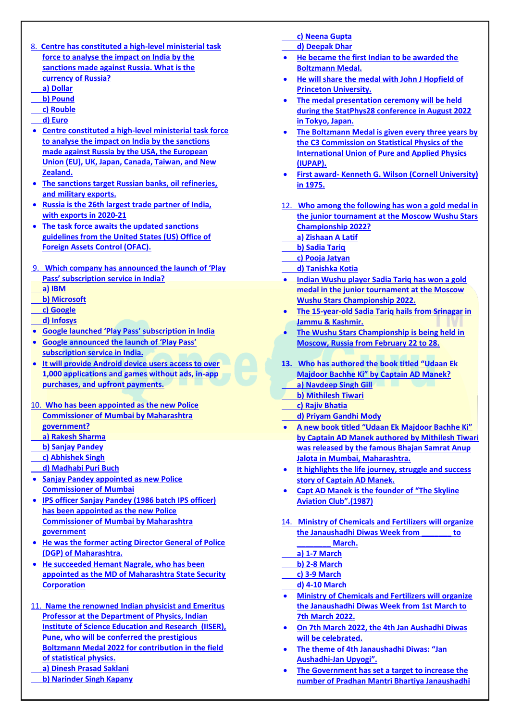- 8. **[Centre has constituted a high-level ministerial task](https://www.defenceguru.co.in/)  [force to analyse the impact on India by the](https://www.defenceguru.co.in/)  [sanctions made against Russia. What is the](https://www.defenceguru.co.in/)  [currency of Russia?](https://www.defenceguru.co.in/)**
- **[a\) Dollar](https://www.defenceguru.co.in/)**
- **[b\) Pound](https://www.defenceguru.co.in/)**
- **[c\) Rouble](https://www.defenceguru.co.in/)  [d\) Euro](https://www.defenceguru.co.in/)**
- 
- **[Centre constituted a high-level ministerial task force](https://www.defenceguru.co.in/)  [to analyse the impact on India by the sanctions](https://www.defenceguru.co.in/)  [made against Russia by the USA, the European](https://www.defenceguru.co.in/)  [Union \(EU\), UK, Japan, Canada, Taiwan, and New](https://www.defenceguru.co.in/)  [Zealand.](https://www.defenceguru.co.in/)**
- **[The sanctions target Russian banks, oil refineries,](https://www.defenceguru.co.in/)  [and military exports.](https://www.defenceguru.co.in/)**
- **[Russia is the 26th largest trade partner of India,](https://www.defenceguru.co.in/)  [with exports in 2020-21](https://www.defenceguru.co.in/)**
- **[The task force awaits the updated sanctions](https://www.defenceguru.co.in/)  [guidelines from the United States \(US\) Office of](https://www.defenceguru.co.in/)  [Foreign Assets Control \(OFAC\).](https://www.defenceguru.co.in/)**
- 9. **[Which company has announced](https://www.defenceguru.co.in/) the launch of 'Play [Pass' subscription service in India?](https://www.defenceguru.co.in/)  [a\) IBM](https://www.defenceguru.co.in/)**
- 
- **[b\) Microsoft](https://www.defenceguru.co.in/)  [c\) Google](https://www.defenceguru.co.in/)**
- **[d\) Infosys](https://www.defenceguru.co.in/)**
- **[Google launched 'Play Pass' subscription in India](https://www.defenceguru.co.in/)**
- **[Google announced the launch of 'Play Pass'](https://www.defenceguru.co.in/)  [subscription service in India.](https://www.defenceguru.co.in/)**
- **[It will provide Android device users access to over](https://www.defenceguru.co.in/)  [1,000 applications and games without ads, in-app](https://www.defenceguru.co.in/)  [purchases, and upfront payments.](https://www.defenceguru.co.in/)**
- 10. **[Who has been appointed as the new Police](https://www.defenceguru.co.in/)  [Commissioner of Mumbai by Maharashtra](https://www.defenceguru.co.in/)  [government?](https://www.defenceguru.co.in/)**
- **[a\) Rakesh Sharma](https://www.defenceguru.co.in/)**
- **[b\) Sanjay Pandey](https://www.defenceguru.co.in/)**
- **[c\) Abhishek Singh](https://www.defenceguru.co.in/)**
- **[d\) Madhabi Puri Buch](https://www.defenceguru.co.in/)**
- **[Sanjay Pandey appointed as new Police](https://www.defenceguru.co.in/)  [Commissioner of Mumbai](https://www.defenceguru.co.in/)**
- **[IPS officer Sanjay Pandey \(1986 batch IPS officer\)](https://www.defenceguru.co.in/)  [has been appointed as the new Police](https://www.defenceguru.co.in/)  [Commissioner of Mumbai by Maharashtra](https://www.defenceguru.co.in/)  [government](https://www.defenceguru.co.in/)**
- **[He was the former acting Director General of Police](https://www.defenceguru.co.in/)  [\(DGP\) of Maharashtra.](https://www.defenceguru.co.in/)**
- **[He succeeded Hemant Nagrale, who has been](https://www.defenceguru.co.in/)  [appointed as the MD of Maharashtra State Security](https://www.defenceguru.co.in/)  [Corporation](https://www.defenceguru.co.in/)**
- 11. **[Name the renowned Indian physicist and Emeritus](https://www.defenceguru.co.in/)  [Professor at the Department of Physics, Indian](https://www.defenceguru.co.in/)  [Institute of Science Education and Research \(IISER\),](https://www.defenceguru.co.in/)  [Pune, who will be conferred the prestigious](https://www.defenceguru.co.in/)  [Boltzmann Medal 2022 for contribution in the field](https://www.defenceguru.co.in/)  [of statistical physics.](https://www.defenceguru.co.in/)  [a\) Dinesh Prasad Saklani](https://www.defenceguru.co.in/)**
	- **[b\) Narinder Singh Kapany](https://www.defenceguru.co.in/)**
- **[c\) Neena Gupta](https://www.defenceguru.co.in/)**
- **[d\) Deepak Dhar](https://www.defenceguru.co.in/)**
- **[He became the first Indian to be awarded the](https://www.defenceguru.co.in/)  [Boltzmann Medal.](https://www.defenceguru.co.in/)**
- **[He will share the medal with John J Hopfield of](https://www.defenceguru.co.in/)  [Princeton University.](https://www.defenceguru.co.in/)**
- **[The medal presentation ceremony will be held](https://www.defenceguru.co.in/)  [during the StatPhys28 conference in August 2022](https://www.defenceguru.co.in/)  [in Tokyo, Japan.](https://www.defenceguru.co.in/)**
- **[The Boltzmann Medal is given every three years by](https://www.defenceguru.co.in/)  [the C3 Commission on Statistical Physics of the](https://www.defenceguru.co.in/)  [International Union of Pure and Applied Physics](https://www.defenceguru.co.in/)  [\(IUPAP\).](https://www.defenceguru.co.in/)**
- **First award- [Kenneth G. Wilson \(Cornell University\)](https://www.defenceguru.co.in/)  [in 1975.](https://www.defenceguru.co.in/)**
- 12. **[Who among the following has won a gold medal in](https://www.defenceguru.co.in/)  [the junior tournament at the Moscow Wushu Stars](https://www.defenceguru.co.in/)  [Championship 2022?](https://www.defenceguru.co.in/)**
- **[a\) Zishaan A Latif](https://www.defenceguru.co.in/)  [b\) Sadia Tariq](https://www.defenceguru.co.in/)**
- **[c\) Pooja Jatyan](https://www.defenceguru.co.in/)**
- **[d\) Tanishka Kotia](https://www.defenceguru.co.in/)**
- **[Indian Wushu player Sadia Tariq has won a gold](https://www.defenceguru.co.in/)  [medal in the junior tournament at the Moscow](https://www.defenceguru.co.in/)  [Wushu Stars Championship 2022.](https://www.defenceguru.co.in/)**
- **[The 15-year-old Sadia Tariq hails from Srinagar in](https://www.defenceguru.co.in/)  [Jammu & Kashmir.](https://www.defenceguru.co.in/)**
- **[The Wushu Stars Championship is being held in](https://www.defenceguru.co.in/)  [Moscow, Russia from](https://www.defenceguru.co.in/) February 22 to 28.**
- **13. [Who has authored the book titled "Udaan Ek](https://www.defenceguru.co.in/)  [Majdoor Bachhe Ki" by Captain AD Manek?](https://www.defenceguru.co.in/)**
	- **[a\) Navdeep Singh Gill](https://www.defenceguru.co.in/)**
- **[b\) Mithilesh Tiwari](https://www.defenceguru.co.in/)   [c\) Rajiv Bhatia](https://www.defenceguru.co.in/)**
- **[d\) Priyam Gandhi Mody](https://www.defenceguru.co.in/)**
- **[A new book titled "Udaan Ek Majdoor Bachhe Ki"](https://www.defenceguru.co.in/)  [by Captain AD Manek authored by Mithilesh Tiwari](https://www.defenceguru.co.in/)  [was released by the famous Bhajan Samrat Anup](https://www.defenceguru.co.in/)  [Jalota in Mumbai, Maharashtra.](https://www.defenceguru.co.in/)**
- **[It highlights the life journey, struggle and success](https://www.defenceguru.co.in/)  [story of Captain AD Manek.](https://www.defenceguru.co.in/)**
- **[Capt AD Manek is the founder of](https://www.defenceguru.co.in/) "The Skyline [Aviation Club".\(1987\)](https://www.defenceguru.co.in/)**
- 14. **[Ministry of Chemicals and Fertilizers will organize](https://www.defenceguru.co.in/)  [the Janaushadhi Diwas Week from \\_\\_\\_\\_\\_\\_\\_ to](https://www.defenceguru.co.in/)  [\\_\\_\\_\\_\\_\\_\\_\\_ March.](https://www.defenceguru.co.in/)**
- **[a\) 1-7 March](https://www.defenceguru.co.in/)**
- **[b\) 2-8 March](https://www.defenceguru.co.in/)**
- **[c\) 3-9 March](https://www.defenceguru.co.in/)**
- **[d\) 4-10 March](https://www.defenceguru.co.in/)**
- **[Ministry of Chemicals and Fertilizers will organize](https://www.defenceguru.co.in/)  [the Janaushadhi Diwas Week from 1st March to](https://www.defenceguru.co.in/)  [7th March 2022.](https://www.defenceguru.co.in/)**
- **[On 7th March 2022, the 4th Jan Aushadhi Diwas](https://www.defenceguru.co.in/)  [will be celebrated.](https://www.defenceguru.co.in/)**
- **[The theme of 4th Janaushadhi Diwas: "Jan](https://www.defenceguru.co.in/)  Aushadhi-[Jan Upyogi".](https://www.defenceguru.co.in/)**
- **[The Government has set a target to increase the](https://www.defenceguru.co.in/)  [number of Pradhan Mantri Bhartiya Janaushadhi](https://www.defenceguru.co.in/)**